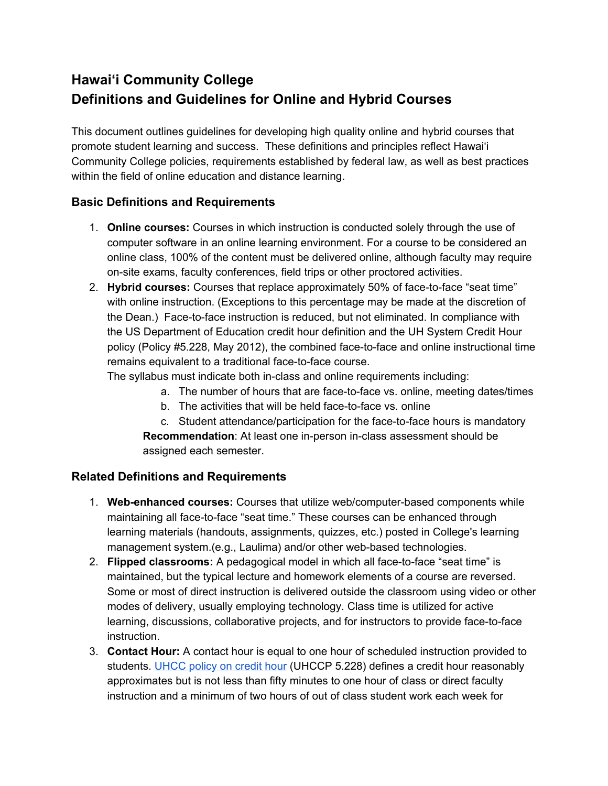# **Hawai'i Community College Definitions and Guidelines for Online and Hybrid Courses**

This document outlines guidelines for developing high quality online and hybrid courses that promote student learning and success. These definitions and principles reflect Hawai'i Community College policies, requirements established by federal law, as well as best practices within the field of online education and distance learning.

#### **Basic Definitions and Requirements**

- 1. **Online courses:** Courses in which instruction is conducted solely through the use of computer software in an online learning environment. For a course to be considered an online class, 100% of the content must be delivered online, although faculty may require on-site exams, faculty conferences, field trips or other proctored activities.
- 2. **Hybrid courses:** Courses that replace approximately 50% of face-to-face "seat time" with online instruction. (Exceptions to this percentage may be made at the discretion of the Dean.) Face-to-face instruction is reduced, but not eliminated. In compliance with the US Department of Education credit hour definition and the UH System Credit Hour policy (Policy #5.228, May 2012), the combined face-to-face and online instructional time remains equivalent to a traditional face-to-face course.

The syllabus must indicate both in-class and online requirements including:

- a. The number of hours that are face-to-face vs. online, meeting dates/times
- b. The activities that will be held face-to-face vs. online
- c. Student attendance/participation for the face-to-face hours is mandatory

**Recommendation**: At least one in-person in-class assessment should be assigned each semester.

### **Related Definitions and Requirements**

- 1. **Web-enhanced courses:** Courses that utilize web/computer-based components while maintaining all face-to-face "seat time." These courses can be enhanced through learning materials (handouts, assignments, quizzes, etc.) posted in College's learning management system.(e.g., Laulima) and/or other web-based technologies.
- 2. **Flipped classrooms:** A pedagogical model in which all face-to-face "seat time" is maintained, but the typical lecture and homework elements of a course are reversed. Some or most of direct instruction is delivered outside the classroom using video or other modes of delivery, usually employing technology. Class time is utilized for active learning, discussions, collaborative projects, and for instructors to provide face-to-face instruction.
- 3. **Contact Hour:** A contact hour is equal to one hour of scheduled instruction provided to students. [UHCC](http://www.uhcc.hawaii.edu/ovpcc/policies/docs/UHCCP_5.228_Credit_Hour.pdf) policy on credit hour (UHCCP 5.228) defines a credit hour reasonably approximates but is not less than fifty minutes to one hour of class or direct faculty instruction and a minimum of two hours of out of class student work each week for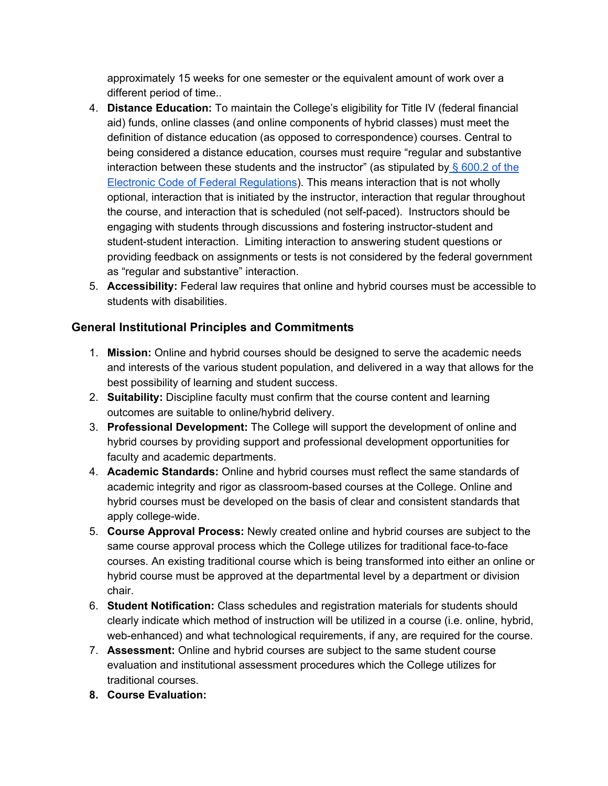approximately 15 weeks for one semester or the equivalent amount of work over a different period of time..

- 4. **Distance Education:** To maintain the College's eligibility for Title IV (federal financial aid) funds, online classes (and online components of hybrid classes) must meet the definition of distance education (as opposed to correspondence) courses. Central to being considered a distance education, courses must require "regular and substantive interaction between these students and the instructor" (as stipulated by  $\S$  [600.2](http://ecfr.gpoaccess.gov/cgi/t/text/text-idx?c=ecfr&sid=0900b7322acc5a5a10c558b8fe15ad7b&rgn=div8&view=text&node=34:3.1.3.1.1.1.23.2&idno=34) of the Electronic Code of Federal [Regulations](http://ecfr.gpoaccess.gov/cgi/t/text/text-idx?c=ecfr&sid=0900b7322acc5a5a10c558b8fe15ad7b&rgn=div8&view=text&node=34:3.1.3.1.1.1.23.2&idno=34)). This means interaction that is not wholly optional, interaction that is initiated by the instructor, interaction that regular throughout the course, and interaction that is scheduled (not self-paced). Instructors should be engaging with students through discussions and fostering instructor-student and student-student interaction. Limiting interaction to answering student questions or providing feedback on assignments or tests is not considered by the federal government as "regular and substantive" interaction.
- 5. **Accessibility:** Federal law requires that online and hybrid courses must be accessible to students with disabilities.

## **General Institutional Principles and Commitments**

- 1. **Mission:** Online and hybrid courses should be designed to serve the academic needs and interests of the various student population, and delivered in a way that allows for the best possibility of learning and student success.
- 2. **Suitability:** Discipline faculty must confirm that the course content and learning outcomes are suitable to online/hybrid delivery.
- 3. **Professional Development:** The College will support the development of online and hybrid courses by providing support and professional development opportunities for faculty and academic departments.
- 4. **Academic Standards:** Online and hybrid courses must reflect the same standards of academic integrity and rigor as classroom-based courses at the College. Online and hybrid courses must be developed on the basis of clear and consistent standards that apply college-wide.
- 5. **Course Approval Process:** Newly created online and hybrid courses are subject to the same course approval process which the College utilizes for traditional face-to-face courses. An existing traditional course which is being transformed into either an online or hybrid course must be approved at the departmental level by a department or division chair.
- 6. **Student Notification:** Class schedules and registration materials for students should clearly indicate which method of instruction will be utilized in a course (i.e. online, hybrid, web-enhanced) and what technological requirements, if any, are required for the course.
- 7. **Assessment:** Online and hybrid courses are subject to the same student course evaluation and institutional assessment procedures which the College utilizes for traditional courses.
- **8. Course Evaluation:**